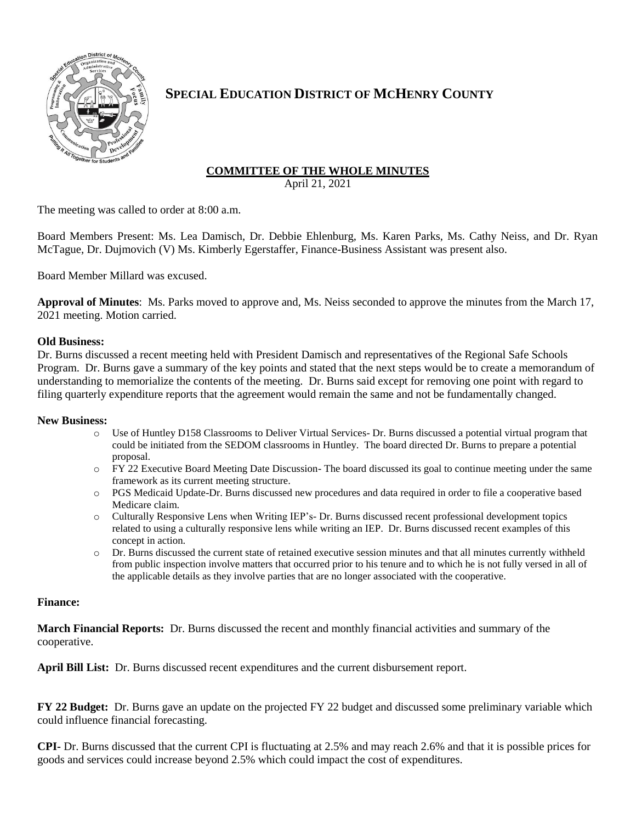

# **SPECIAL EDUCATION DISTRICT OF MCHENRY COUNTY**

# **COMMITTEE OF THE WHOLE MINUTES**

April 21, 2021

The meeting was called to order at 8:00 a.m.

Board Members Present: Ms. Lea Damisch, Dr. Debbie Ehlenburg, Ms. Karen Parks, Ms. Cathy Neiss, and Dr. Ryan McTague, Dr. Dujmovich (V) Ms. Kimberly Egerstaffer, Finance-Business Assistant was present also.

Board Member Millard was excused.

**Approval of Minutes**: Ms. Parks moved to approve and, Ms. Neiss seconded to approve the minutes from the March 17, 2021 meeting. Motion carried.

### **Old Business:**

Dr. Burns discussed a recent meeting held with President Damisch and representatives of the Regional Safe Schools Program. Dr. Burns gave a summary of the key points and stated that the next steps would be to create a memorandum of understanding to memorialize the contents of the meeting. Dr. Burns said except for removing one point with regard to filing quarterly expenditure reports that the agreement would remain the same and not be fundamentally changed.

#### **New Business:**

- o Use of Huntley D158 Classrooms to Deliver Virtual Services- Dr. Burns discussed a potential virtual program that could be initiated from the SEDOM classrooms in Huntley. The board directed Dr. Burns to prepare a potential proposal.
- o FY 22 Executive Board Meeting Date Discussion- The board discussed its goal to continue meeting under the same framework as its current meeting structure.
- o PGS Medicaid Update-Dr. Burns discussed new procedures and data required in order to file a cooperative based Medicare claim.
- o Culturally Responsive Lens when Writing IEP's- Dr. Burns discussed recent professional development topics related to using a culturally responsive lens while writing an IEP. Dr. Burns discussed recent examples of this concept in action.
- o Dr. Burns discussed the current state of retained executive session minutes and that all minutes currently withheld from public inspection involve matters that occurred prior to his tenure and to which he is not fully versed in all of the applicable details as they involve parties that are no longer associated with the cooperative.

#### **Finance:**

**March Financial Reports:** Dr. Burns discussed the recent and monthly financial activities and summary of the cooperative.

**April Bill List:** Dr. Burns discussed recent expenditures and the current disbursement report.

**FY 22 Budget:** Dr. Burns gave an update on the projected FY 22 budget and discussed some preliminary variable which could influence financial forecasting.

**CPI-** Dr. Burns discussed that the current CPI is fluctuating at 2.5% and may reach 2.6% and that it is possible prices for goods and services could increase beyond 2.5% which could impact the cost of expenditures.